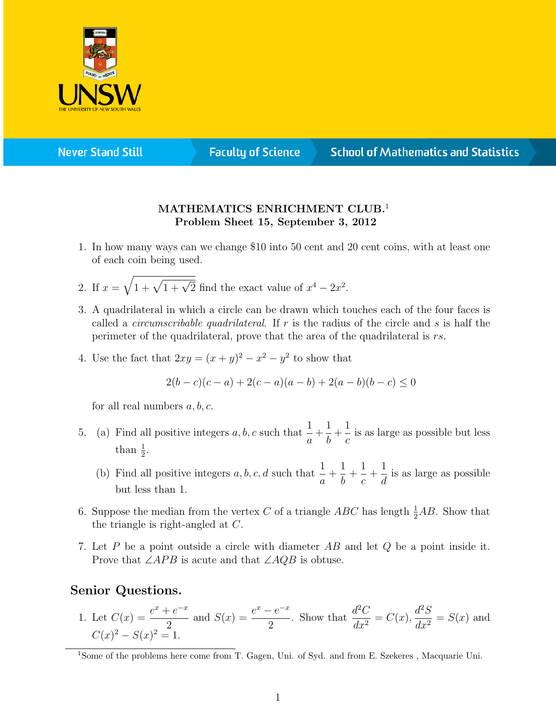

**Never Stand Still** 

**Faculty of Science** 

## **School of Mathematics and Statistics**

## MATHEMATICS ENRICHMENT CLUB.<sup>1</sup> Problem Sheet 15, September 3, 2012

- 1. In how many ways can we change \$10 into 50 cent and 20 cent coins, with at least one of each coin being used.
- 2. If  $x = \sqrt{1 + \sqrt{1 + \sqrt{2}}}$  find the exact value of  $x^4 2x^2$ .
- 3. A quadrilateral in which a circle can be drawn which touches each of the four faces is called a *circumscribable quadrilateral*. If r is the radius of the circle and s is half the perimeter of the quadrilateral, prove that the area of the quadrilateral is rs.
- 4. Use the fact that  $2xy = (x+y)^2 x^2 y^2$  to show that

$$
2(b-c)(c-a) + 2(c-a)(a-b) + 2(a-b)(b-c) \le 0
$$

for all real numbers  $a, b, c$ .

- 5. (a) Find all positive integers  $a, b, c$  such that  $\frac{1}{a}$ a  $+$ 1 b  $+$ 1 c is as large as possible but less than  $\frac{1}{2}$ .
	- (b) Find all positive integers  $a, b, c, d$  such that  $\frac{1}{a}$ a  $+$ 1 b  $+$ 1 c  $+$ 1 d is as large as possible but less than 1.
- 6. Suppose the median from the vertex C of a triangle ABC has length  $\frac{1}{2}AB$ . Show that the triangle is right-angled at C.
- 7. Let P be a point outside a circle with diameter AB and let Q be a point inside it. Prove that  $\angle APB$  is acute and that  $\angle AQB$  is obtuse.

## Senior Questions.

1. Let  $C(x) = \frac{e^x + e^{-x}}{2}$ 2 and  $S(x) = \frac{e^x - e^{-x}}{2}$ 2 . Show that  $\frac{d^2C}{1}$  $\frac{d^{2}C}{dx^{2}} = C(x),$  $d^2S$  $\frac{d^2S}{dx^2} = S(x)$  and  $C(x)^2 - S(x)^2 = 1.$ 

<sup>&</sup>lt;sup>1</sup>Some of the problems here come from T. Gagen, Uni. of Syd. and from E. Szekeres, Macquarie Uni.